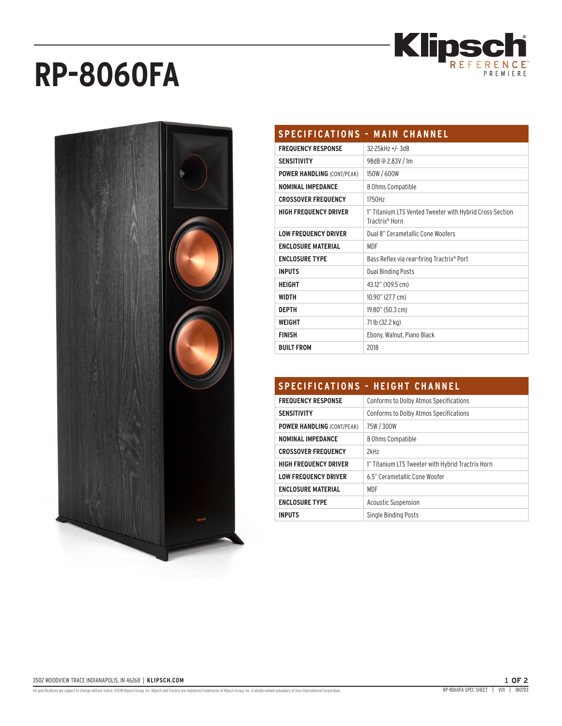

# **RP-8060FA**



| <b>SPECIFICATIONS - MAIN CHANNEL</b> |                                                                                        |
|--------------------------------------|----------------------------------------------------------------------------------------|
| <b>FREQUENCY RESPONSE</b>            | 32-25kHz +/-3dB                                                                        |
| <b>SENSITIVITY</b>                   | 98dB @ 2.83V / 1m                                                                      |
| <b>POWER HANDLING (CONT/PEAK)</b>    | 150W / 600W                                                                            |
| <b>NOMINAL IMPEDANCE</b>             | 8 Ohms Compatible                                                                      |
| <b>CROSSOVER FREQUENCY</b>           | 1750Hz                                                                                 |
| <b>HIGH FREQUENCY DRIVER</b>         | 1" Titanium LTS Vented Tweeter with Hybrid Cross-Section<br>Tractrix <sup>®</sup> Horn |
| <b>LOW FREQUENCY DRIVER</b>          | Dual 8" Cerametallic Cone Woofers                                                      |
| <b>ENCLOSURE MATERIAL</b>            | MDF                                                                                    |
| <b>ENCLOSURE TYPE</b>                | Bass Reflex via rear-firing Tractrix® Port                                             |
| <b>INPUTS</b>                        | <b>Dual Binding Posts</b>                                                              |
| <b>HEIGHT</b>                        | 43.12" (109.5 cm)                                                                      |
| <b>WIDTH</b>                         | 10.90" (27.7 cm)                                                                       |
| <b>DEPTH</b>                         | 19.80" (50.3 cm)                                                                       |
| <b>WEIGHT</b>                        | 71 lb (32.2 kg)                                                                        |
| <b>FINISH</b>                        | Ebony, Walnut, Piano Black                                                             |
| <b>BUILT FROM</b>                    | 2018                                                                                   |

# **SPECIFICATIONS - HEIGHT CHANNEL**

| <b>FREQUENCY RESPONSE</b>         | Conforms to Dolby Atmos Specifications            |
|-----------------------------------|---------------------------------------------------|
| <b>SENSITIVITY</b>                | Conforms to Dolby Atmos Specifications            |
| <b>POWER HANDLING (CONT/PEAK)</b> | 75W / 300W                                        |
| <b>NOMINAL IMPEDANCE</b>          | 8 Ohms Compatible                                 |
| <b>CROSSOVER FREQUENCY</b>        | 2kH <sub>7</sub>                                  |
| <b>HIGH FREQUENCY DRIVER</b>      | 1" Titanium LTS Tweeter with Hybrid Tractrix Horn |
| <b>LOW FREQUENCY DRIVER</b>       | 6.5" Cerametallic Cone Woofer                     |
| <b>ENCLOSURE MATERIAL</b>         | MDF                                               |
| <b>ENCLOSURE TYPE</b>             | Acoustic Suspension                               |
| <b>INPUTS</b>                     | Single Binding Posts                              |